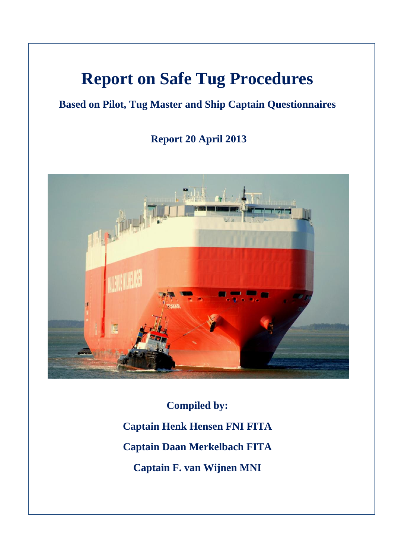## **Report on Safe Tug Procedures**

## **Based on Pilot, Tug Master and Ship Captain Questionnaires**

**Report 20 April 2013**



**Compiled by: Captain Henk Hensen FNI FITA Captain Daan Merkelbach FITA Captain F. van Wijnen MNI**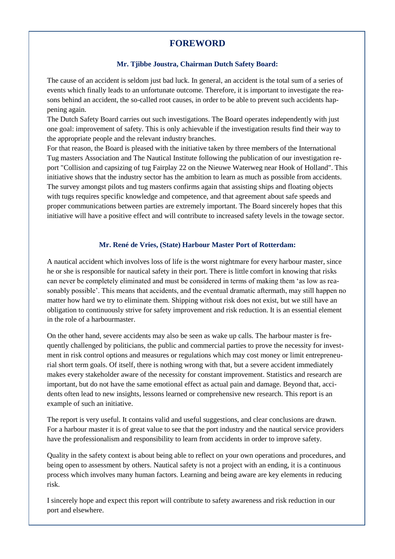## **FOREWORD**

#### **Mr. Tjibbe Joustra, Chairman Dutch Safety Board:**

The cause of an accident is seldom just bad luck. In general, an accident is the total sum of a series of events which finally leads to an unfortunate outcome. Therefore, it is important to investigate the reasons behind an accident, the so-called root causes, in order to be able to prevent such accidents happening again.

The Dutch Safety Board carries out such investigations. The Board operates independently with just one goal: improvement of safety. This is only achievable if the investigation results find their way to the appropriate people and the relevant industry branches.

For that reason, the Board is pleased with the initiative taken by three members of the International Tug masters Association and The Nautical Institute following the publication of our investigation report "Collision and capsizing of tug Fairplay 22 on the Nieuwe Waterweg near Hook of Holland". This initiative shows that the industry sector has the ambition to learn as much as possible from accidents. The survey amongst pilots and tug masters confirms again that assisting ships and floating objects with tugs requires specific knowledge and competence, and that agreement about safe speeds and proper communications between parties are extremely important. The Board sincerely hopes that this initiative will have a positive effect and will contribute to increased safety levels in the towage sector.

#### **Mr. René de Vries, (State) Harbour Master Port of Rotterdam:**

A nautical accident which involves loss of life is the worst nightmare for every harbour master, since he or she is responsible for nautical safety in their port. There is little comfort in knowing that risks can never be completely eliminated and must be considered in terms of making them 'as low as reasonably possible'. This means that accidents, and the eventual dramatic aftermath, may still happen no matter how hard we try to eliminate them. Shipping without risk does not exist, but we still have an obligation to continuously strive for safety improvement and risk reduction. It is an essential element in the role of a harbourmaster.

On the other hand, severe accidents may also be seen as wake up calls. The harbour master is frequently challenged by politicians, the public and commercial parties to prove the necessity for investment in risk control options and measures or regulations which may cost money or limit entrepreneurial short term goals. Of itself, there is nothing wrong with that, but a severe accident immediately makes every stakeholder aware of the necessity for constant improvement. Statistics and research are important, but do not have the same emotional effect as actual pain and damage. Beyond that, accidents often lead to new insights, lessons learned or comprehensive new research. This report is an example of such an initiative.

The report is very useful. It contains valid and useful suggestions, and clear conclusions are drawn. For a harbour master it is of great value to see that the port industry and the nautical service providers have the professionalism and responsibility to learn from accidents in order to improve safety.

Quality in the safety context is about being able to reflect on your own operations and procedures, and being open to assessment by others. Nautical safety is not a project with an ending, it is a continuous process which involves many human factors. Learning and being aware are key elements in reducing risk.

I sincerely hope and expect this report will contribute to safety awareness and risk reduction in our port and elsewhere.

2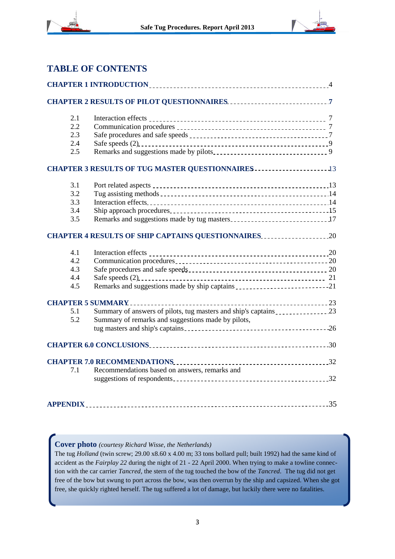



#### **TABLE OF CONTENTS**

| 2.1 |                                                                                                                                                                                                                                   |  |  |  |
|-----|-----------------------------------------------------------------------------------------------------------------------------------------------------------------------------------------------------------------------------------|--|--|--|
| 2.2 |                                                                                                                                                                                                                                   |  |  |  |
| 2.3 |                                                                                                                                                                                                                                   |  |  |  |
| 2.4 |                                                                                                                                                                                                                                   |  |  |  |
| 2.5 |                                                                                                                                                                                                                                   |  |  |  |
|     |                                                                                                                                                                                                                                   |  |  |  |
| 3.1 |                                                                                                                                                                                                                                   |  |  |  |
| 3.2 |                                                                                                                                                                                                                                   |  |  |  |
| 3.3 |                                                                                                                                                                                                                                   |  |  |  |
| 3.4 |                                                                                                                                                                                                                                   |  |  |  |
| 3.5 |                                                                                                                                                                                                                                   |  |  |  |
|     | <b>CHAPTER 4 RESULTS OF SHIP CAPTAINS QUESTIONNAIRES20</b>                                                                                                                                                                        |  |  |  |
| 4.1 |                                                                                                                                                                                                                                   |  |  |  |
| 4.2 |                                                                                                                                                                                                                                   |  |  |  |
| 4.3 | Safe procedures and safe speeds<br><u>1990</u>                                                                                                                                                                                    |  |  |  |
| 4.4 |                                                                                                                                                                                                                                   |  |  |  |
| 4.5 |                                                                                                                                                                                                                                   |  |  |  |
|     |                                                                                                                                                                                                                                   |  |  |  |
| 5.1 |                                                                                                                                                                                                                                   |  |  |  |
| 5.2 | Summary of remarks and suggestions made by pilots,                                                                                                                                                                                |  |  |  |
|     |                                                                                                                                                                                                                                   |  |  |  |
|     |                                                                                                                                                                                                                                   |  |  |  |
|     | CHAPTER 7.0 RECOMMENDATIONS<br>1992 - The Manuel Andrew Manuel Andrew Manuel Andrew Manuel Andrew Manuel Andrew Manuel Andrew Manuel Andrew Manuel Andrew Manuel Andrew Manuel Andrew Manuel Andrew Manuel Andrew Manuel Andrew M |  |  |  |
| 7.1 | Recommendations based on answers, remarks and                                                                                                                                                                                     |  |  |  |
|     |                                                                                                                                                                                                                                   |  |  |  |
|     |                                                                                                                                                                                                                                   |  |  |  |
|     |                                                                                                                                                                                                                                   |  |  |  |

#### **Cover photo** *(courtesy Richard Wisse, the Netherlands)*

The tug *Holland* (twin screw; 29.00 x8.60 x 4.00 m; 33 tons bollard pull; built 1992) had the same kind of accident as the *Fairplay 22* during the night of 21 - 22 April 2000. When trying to make a towline connection with the car carrier *Tancred,* the stern of the tug touched the bow of the *Tancred*. The tug did not get free of the bow but swung to port across the bow, was then overrun by the ship and capsized. When she got free, she quickly righted herself. The tug suffered a lot of damage, but luckily there were no fatalities.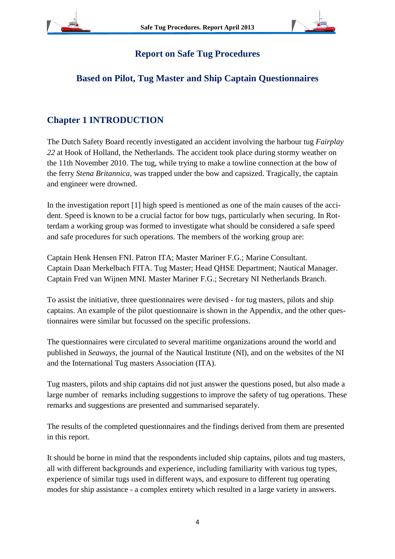

一篇

## **Report on Safe Tug Procedures**

## **Based on Pilot, Tug Master and Ship Captain Questionnaires**

## **Chapter 1 INTRODUCTION**

The Dutch Safety Board recently investigated an accident involving the harbour tug *Fairplay 22* at Hook of Holland, the Netherlands. The accident took place during stormy weather on the 11th November 2010. The tug, while trying to make a towline connection at the bow of the ferry *Stena Britannica,* was trapped under the bow and capsized. Tragically, the captain and engineer were drowned.

In the investigation report [1] high speed is mentioned as one of the main causes of the accident. Speed is known to be a crucial factor for bow tugs, particularly when securing. In Rotterdam a working group was formed to investigate what should be considered a safe speed and safe procedures for such operations. The members of the working group are:

Captain Henk Hensen FNI. Patron ITA; Master Mariner F.G.; Marine Consultant. Captain Daan Merkelbach FITA. Tug Master; Head QHSE Department; Nautical Manager. Captain Fred van Wijnen MNI. Master Mariner F.G.; Secretary NI Netherlands Branch.

To assist the initiative, three questionnaires were devised - for tug masters, pilots and ship captains. An example of the pilot questionnaire is shown in the Appendix, and the other questionnaires were similar but focussed on the specific professions.

The questionnaires were circulated to several maritime organizations around the world and published in *Seaways*, the journal of the Nautical Institute (NI), and on the websites of the NI and the International Tug masters Association (ITA).

Tug masters, pilots and ship captains did not just answer the questions posed, but also made a large number of remarks including suggestions to improve the safety of tug operations. These remarks and suggestions are presented and summarised separately.

The results of the completed questionnaires and the findings derived from them are presented in this report.

It should be borne in mind that the respondents included ship captains, pilots and tug masters, all with different backgrounds and experience, including familiarity with various tug types, experience of similar tugs used in different ways, and exposure to different tug operating modes for ship assistance - a complex entirety which resulted in a large variety in answers.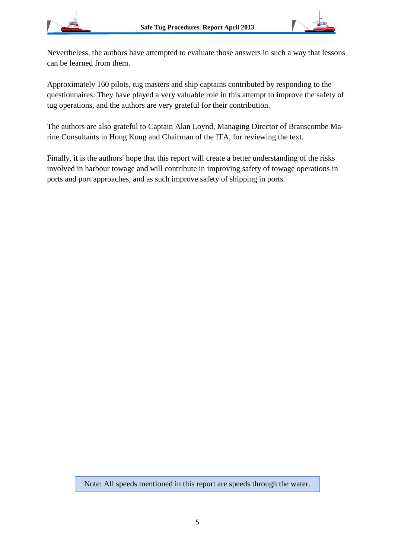



Nevertheless, the authors have attempted to evaluate those answers in such a way that lessons can be learned from them.

Approximately 160 pilots, tug masters and ship captains contributed by responding to the questionnaires. They have played a very valuable role in this attempt to improve the safety of tug operations, and the authors are very grateful for their contribution.

The authors are also grateful to Captain Alan Loynd, Managing Director of Branscombe Marine Consultants in Hong Kong and Chairman of the ITA, for reviewing the text.

Finally, it is the authors' hope that this report will create a better understanding of the risks involved in harbour towage and will contribute in improving safety of towage operations in ports and port approaches, and as such improve safety of shipping in ports.

Note: All speeds mentioned in this report are speeds through the water.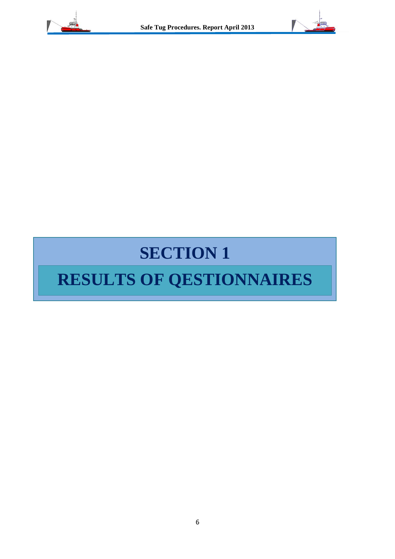



## **SECTION 1**

## **RESULTS OF QESTIONNAIRES**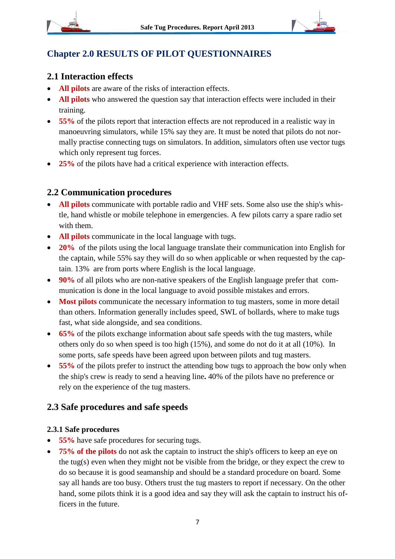

## **Chapter 2.0 RESULTS OF PILOT QUESTIONNAIRES**

## **2.1 Interaction effects**

- **All pilots** are aware of the risks of interaction effects.
- **All pilots** who answered the question say that interaction effects were included in their training.
- **55%** of the pilots report that interaction effects are not reproduced in a realistic way in manoeuvring simulators, while 15% say they are. It must be noted that pilots do not normally practise connecting tugs on simulators. In addition, simulators often use vector tugs which only represent tug forces.
- 25% of the pilots have had a critical experience with interaction effects.

## **2.2 Communication procedures**

- **All pilots** communicate with portable radio and VHF sets. Some also use the ship's whistle, hand whistle or mobile telephone in emergencies. A few pilots carry a spare radio set with them.
- **All pilots** communicate in the local language with tugs.
- 20% of the pilots using the local language translate their communication into English for the captain, while 55% say they will do so when applicable or when requested by the captain. 13% are from ports where English is the local language.
- **90%** of all pilots who are non-native speakers of the English language prefer that communication is done in the local language to avoid possible mistakes and errors.
- **Most pilots** communicate the necessary information to tug masters, some in more detail than others. Information generally includes speed, SWL of bollards, where to make tugs fast, what side alongside, and sea conditions.
- **65%** of the pilots exchange information about safe speeds with the tug masters, while others only do so when speed is too high (15%), and some do not do it at all (10%). In some ports, safe speeds have been agreed upon between pilots and tug masters.
- **55%** of the pilots prefer to instruct the attending bow tugs to approach the bow only when the ship's crew is ready to send a heaving line**.** 40% of the pilots have no preference or rely on the experience of the tug masters.

## **2.3 Safe procedures and safe speeds**

#### **2.3.1 Safe procedures**

- **55%** have safe procedures for securing tugs.
- **75% of the pilots** do not ask the captain to instruct the ship's officers to keep an eye on the tug(s) even when they might not be visible from the bridge, or they expect the crew to do so because it is good seamanship and should be a standard procedure on board. Some say all hands are too busy. Others trust the tug masters to report if necessary. On the other hand, some pilots think it is a good idea and say they will ask the captain to instruct his officers in the future.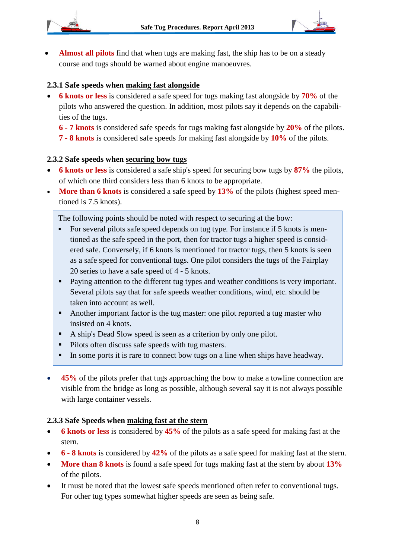

 **Almost all pilots** find that when tugs are making fast, the ship has to be on a steady course and tugs should be warned about engine manoeuvres.

#### **2.3.1 Safe speeds when making fast alongside**

 **6 knots or less** is considered a safe speed for tugs making fast alongside by **70%** of the pilots who answered the question. In addition, most pilots say it depends on the capabilities of the tugs.

**6 - 7 knots** is considered safe speeds for tugs making fast alongside by **20%** of the pilots.

**7 - 8 knots** is considered safe speeds for making fast alongside by **10%** of the pilots.

#### **2.3.2 Safe speeds when securing bow tugs**

- **6 knots or less** is considered a safe ship's speed for securing bow tugs by **87%** the pilots, of which one third considers less than 6 knots to be appropriate.
- **More than 6 knots** is considered a safe speed by **13%** of the pilots (highest speed mentioned is 7.5 knots).

The following points should be noted with respect to securing at the bow:

- For several pilots safe speed depends on tug type. For instance if 5 knots is mentioned as the safe speed in the port, then for tractor tugs a higher speed is considered safe. Conversely, if 6 knots is mentioned for tractor tugs, then 5 knots is seen as a safe speed for conventional tugs. One pilot considers the tugs of the Fairplay 20 series to have a safe speed of 4 - 5 knots.
- **Paying attention to the different tug types and weather conditions is very important.** Several pilots say that for safe speeds weather conditions, wind, etc. should be taken into account as well.
- Another important factor is the tug master: one pilot reported a tug master who insisted on 4 knots.
- A ship's Dead Slow speed is seen as a criterion by only one pilot.
- **Pilots often discuss safe speeds with tug masters.**
- In some ports it is rare to connect bow tugs on a line when ships have headway.
- **45%** of the pilots prefer that tugs approaching the bow to make a towline connection are visible from the bridge as long as possible, although several say it is not always possible with large container vessels.

#### **2.3.3 Safe Speeds when making fast at the stern**

- **6 knots or less** is considered by **45%** of the pilots as a safe speed for making fast at the stern.
- **6 - 8 knots** is considered by **42%** of the pilots as a safe speed for making fast at the stern.
- **More than 8 knots** is found a safe speed for tugs making fast at the stern by about **13%** of the pilots.
- It must be noted that the lowest safe speeds mentioned often refer to conventional tugs. For other tug types somewhat higher speeds are seen as being safe.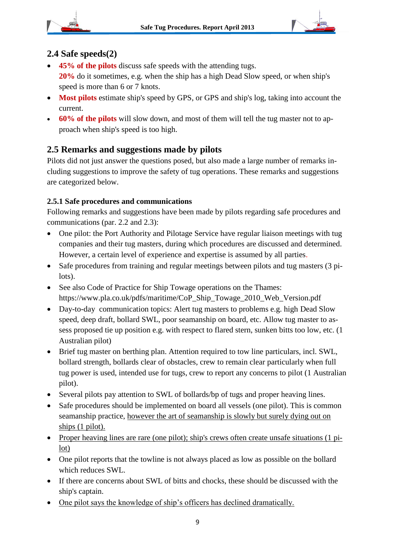

 $\frac{1}{2}$ 



### **2.4 Safe speeds(2)**

- **45% of the pilots** discuss safe speeds with the attending tugs. **20%** do it sometimes, e.g. when the ship has a high Dead Slow speed, or when ship's speed is more than 6 or 7 knots.
- **Most pilots** estimate ship's speed by GPS, or GPS and ship's log, taking into account the current.
- **60% of the pilots** will slow down, and most of them will tell the tug master not to approach when ship's speed is too high.

## **2.5 Remarks and suggestions made by pilots**

Pilots did not just answer the questions posed, but also made a large number of remarks including suggestions to improve the safety of tug operations. These remarks and suggestions are categorized below.

#### **2.5.1 Safe procedures and communications**

Following remarks and suggestions have been made by pilots regarding safe procedures and communications (par. 2.2 and 2.3):

- One pilot: the Port Authority and Pilotage Service have regular liaison meetings with tug companies and their tug masters, during which procedures are discussed and determined. However, a certain level of experience and expertise is assumed by all parties.
- Safe procedures from training and regular meetings between pilots and tug masters (3 pilots).
- See also Code of Practice for Ship Towage operations on the Thames: https://www.pla.co.uk/pdfs/maritime/CoP\_Ship\_Towage\_2010\_Web\_Version.pdf
- Day-to-day communication topics: Alert tug masters to problems e.g. high Dead Slow speed, deep draft, bollard SWL, poor seamanship on board, etc. Allow tug master to assess proposed tie up position e.g. with respect to flared stern, sunken bitts too low, etc. (1 Australian pilot)
- Brief tug master on berthing plan. Attention required to tow line particulars, incl. SWL, bollard strength, bollards clear of obstacles, crew to remain clear particularly when full tug power is used, intended use for tugs, crew to report any concerns to pilot (1 Australian pilot).
- Several pilots pay attention to SWL of bollards/bp of tugs and proper heaving lines.
- Safe procedures should be implemented on board all vessels (one pilot). This is common seamanship practice, however the art of seamanship is slowly but surely dying out on ships (1 pilot).
- Proper heaving lines are rare (one pilot); ship's crews often create unsafe situations (1 pilot)
- One pilot reports that the towline is not always placed as low as possible on the bollard which reduces SWL.
- If there are concerns about SWL of bitts and chocks, these should be discussed with the ship's captain.
- One pilot says the knowledge of ship's officers has declined dramatically.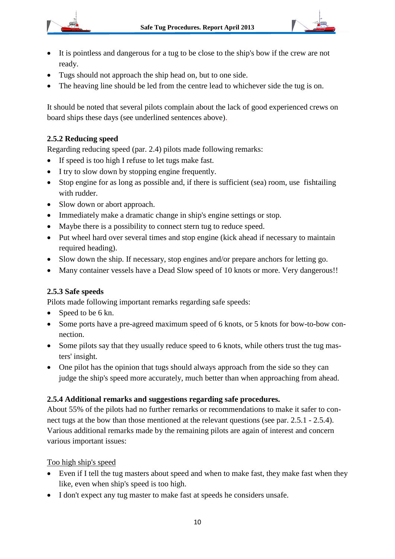



- It is pointless and dangerous for a tug to be close to the ship's bow if the crew are not ready.
- Tugs should not approach the ship head on, but to one side.
- The heaving line should be led from the centre lead to whichever side the tug is on.

It should be noted that several pilots complain about the lack of good experienced crews on board ships these days (see underlined sentences above).

#### **2.5.2 Reducing speed**

Regarding reducing speed (par. 2.4) pilots made following remarks:

- If speed is too high I refuse to let tugs make fast.
- I try to slow down by stopping engine frequently.
- Stop engine for as long as possible and, if there is sufficient (sea) room, use fishtailing with rudder.
- Slow down or abort approach.
- Immediately make a dramatic change in ship's engine settings or stop.
- Maybe there is a possibility to connect stern tug to reduce speed.
- Put wheel hard over several times and stop engine (kick ahead if necessary to maintain required heading).
- Slow down the ship. If necessary, stop engines and/or prepare anchors for letting go.
- Many container vessels have a Dead Slow speed of 10 knots or more. Very dangerous!!

#### **2.5.3 Safe speeds**

Pilots made following important remarks regarding safe speeds:

- Speed to be 6 kn.
- Some ports have a pre-agreed maximum speed of 6 knots, or 5 knots for bow-to-bow connection.
- Some pilots say that they usually reduce speed to 6 knots, while others trust the tug masters' insight.
- One pilot has the opinion that tugs should always approach from the side so they can judge the ship's speed more accurately, much better than when approaching from ahead.

#### **2.5.4 Additional remarks and suggestions regarding safe procedures.**

About 55% of the pilots had no further remarks or recommendations to make it safer to connect tugs at the bow than those mentioned at the relevant questions (see par. 2.5.1 - 2.5.4). Various additional remarks made by the remaining pilots are again of interest and concern various important issues:

#### Too high ship's speed

- Even if I tell the tug masters about speed and when to make fast, they make fast when they like, even when ship's speed is too high.
- I don't expect any tug master to make fast at speeds he considers unsafe.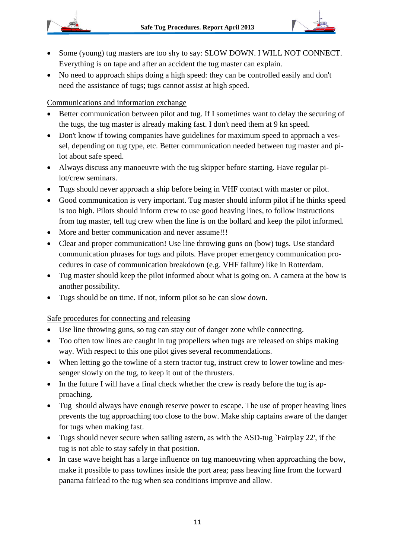

- Some (young) tug masters are too shy to say: SLOW DOWN. I WILL NOT CONNECT. Everything is on tape and after an accident the tug master can explain.
- No need to approach ships doing a high speed: they can be controlled easily and don't need the assistance of tugs; tugs cannot assist at high speed.

Communications and information exchange

- Better communication between pilot and tug. If I sometimes want to delay the securing of the tugs, the tug master is already making fast. I don't need them at 9 kn speed.
- Don't know if towing companies have guidelines for maximum speed to approach a vessel, depending on tug type, etc. Better communication needed between tug master and pilot about safe speed.
- Always discuss any manoeuvre with the tug skipper before starting. Have regular pilot/crew seminars.
- Tugs should never approach a ship before being in VHF contact with master or pilot.
- Good communication is very important. Tug master should inform pilot if he thinks speed is too high. Pilots should inform crew to use good heaving lines, to follow instructions from tug master, tell tug crew when the line is on the bollard and keep the pilot informed.
- More and better communication and never assume!!!
- Clear and proper communication! Use line throwing guns on (bow) tugs. Use standard communication phrases for tugs and pilots. Have proper emergency communication procedures in case of communication breakdown (e.g. VHF failure) like in Rotterdam.
- Tug master should keep the pilot informed about what is going on. A camera at the bow is another possibility.
- Tugs should be on time. If not, inform pilot so he can slow down.

Safe procedures for connecting and releasing

- Use line throwing guns, so tug can stay out of danger zone while connecting.
- Too often tow lines are caught in tug propellers when tugs are released on ships making way. With respect to this one pilot gives several recommendations.
- When letting go the towline of a stern tractor tug, instruct crew to lower towline and messenger slowly on the tug, to keep it out of the thrusters.
- In the future I will have a final check whether the crew is ready before the tug is approaching.
- Tug should always have enough reserve power to escape. The use of proper heaving lines prevents the tug approaching too close to the bow. Make ship captains aware of the danger for tugs when making fast.
- Tugs should never secure when sailing astern, as with the ASD-tug `Fairplay 22', if the tug is not able to stay safely in that position.
- In case wave height has a large influence on tug manoeuvring when approaching the bow, make it possible to pass towlines inside the port area; pass heaving line from the forward panama fairlead to the tug when sea conditions improve and allow.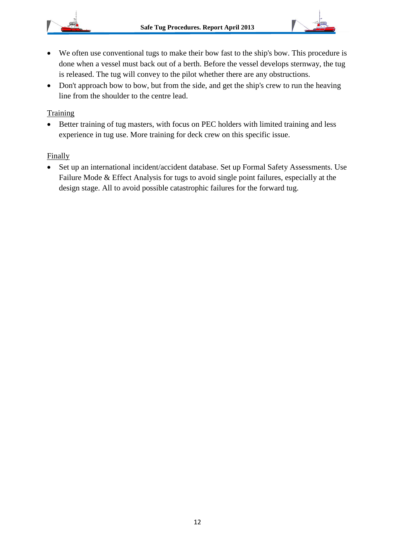

- We often use conventional tugs to make their bow fast to the ship's bow. This procedure is done when a vessel must back out of a berth. Before the vessel develops sternway, the tug is released. The tug will convey to the pilot whether there are any obstructions.
- Don't approach bow to bow, but from the side, and get the ship's crew to run the heaving line from the shoulder to the centre lead.

#### Training

• Better training of tug masters, with focus on PEC holders with limited training and less experience in tug use. More training for deck crew on this specific issue.

#### Finally

 Set up an international incident/accident database. Set up Formal Safety Assessments. Use Failure Mode & Effect Analysis for tugs to avoid single point failures, especially at the design stage. All to avoid possible catastrophic failures for the forward tug.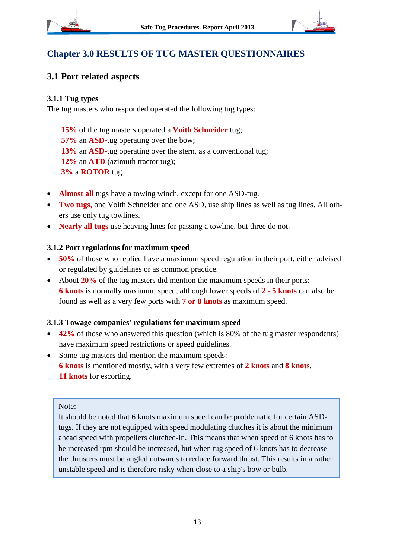

有用



## **3.1 Port related aspects**

#### **3.1.1 Tug types**

The tug masters who responded operated the following tug types:

**15%** of the tug masters operated a **Voith Schneider** tug; **57%** an **ASD-**tug operating over the bow; **13%** an **ASD-**tug operating over the stern, as a conventional tug; **12%** an **ATD** (azimuth tractor tug); **3%** a **ROTOR** tug.

- **Almost all** tugs have a towing winch, except for one ASD-tug.
- **Two tugs**, one Voith Schneider and one ASD, use ship lines as well as tug lines. All others use only tug towlines.
- **Nearly all tugs** use heaving lines for passing a towline, but three do not.

#### **3.1.2 Port regulations for maximum speed**

- **50%** of those who replied have a maximum speed regulation in their port, either advised or regulated by guidelines or as common practice.
- About **20%** of the tug masters did mention the maximum speeds in their ports: **6 knots** is normally maximum speed, although lower speeds of **2 - 5 knots** can also be found as well as a very few ports with **7 or 8 knots** as maximum speed.

#### **3.1.3 Towage companies' regulations for maximum speed**

- 42% of those who answered this question (which is 80% of the tug master respondents) have maximum speed restrictions or speed guidelines.
- Some tug masters did mention the maximum speeds: **6 knots** is mentioned mostly, with a very few extremes of **2 knots** and **8 knots**. **11 knots** for escorting.

#### Note:

It should be noted that 6 knots maximum speed can be problematic for certain ASDtugs. If they are not equipped with speed modulating clutches it is about the minimum ahead speed with propellers clutched-in. This means that when speed of 6 knots has to be increased rpm should be increased, but when tug speed of 6 knots has to decrease the thrusters must be angled outwards to reduce forward thrust. This results in a rather unstable speed and is therefore risky when close to a ship's bow or bulb.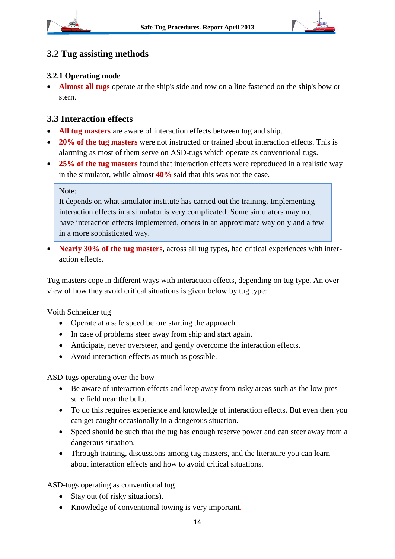



## **3.2 Tug assisting methods**

#### **3.2.1 Operating mode**

 **Almost all tugs** operate at the ship's side and tow on a line fastened on the ship's bow or stern.

#### **3.3 Interaction effects**

- **All tug masters** are aware of interaction effects between tug and ship.
- 20% of the tug masters were not instructed or trained about interaction effects. This is alarming as most of them serve on ASD-tugs which operate as conventional tugs.
- **25% of the tug masters** found that interaction effects were reproduced in a realistic way in the simulator, while almost **40%** said that this was not the case.

#### Note:

It depends on what simulator institute has carried out the training. Implementing interaction effects in a simulator is very complicated. Some simulators may not have interaction effects implemented, others in an approximate way only and a few in a more sophisticated way.

• Nearly 30% of the tug masters, across all tug types, had critical experiences with interaction effects.

Tug masters cope in different ways with interaction effects, depending on tug type. An overview of how they avoid critical situations is given below by tug type:

Voith Schneider tug

- Operate at a safe speed before starting the approach.
- In case of problems steer away from ship and start again.
- Anticipate, never oversteer, and gently overcome the interaction effects.
- Avoid interaction effects as much as possible.

ASD-tugs operating over the bow

- Be aware of interaction effects and keep away from risky areas such as the low pressure field near the bulb.
- To do this requires experience and knowledge of interaction effects. But even then you can get caught occasionally in a dangerous situation.
- Speed should be such that the tug has enough reserve power and can steer away from a dangerous situation.
- Through training, discussions among tug masters, and the literature you can learn about interaction effects and how to avoid critical situations.

ASD-tugs operating as conventional tug

- Stay out (of risky situations).
- Knowledge of conventional towing is very important.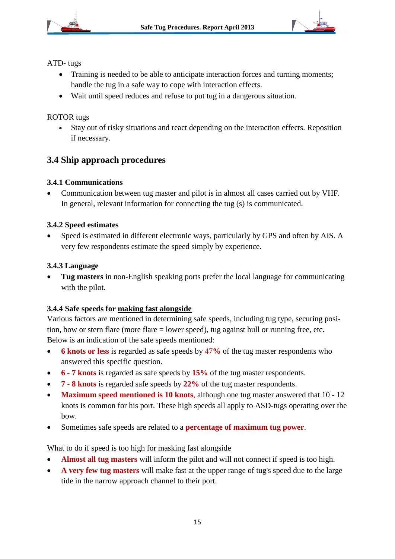



ATD- tugs

- Training is needed to be able to anticipate interaction forces and turning moments; handle the tug in a safe way to cope with interaction effects.
- Wait until speed reduces and refuse to put tug in a dangerous situation.

#### ROTOR tugs

 Stay out of risky situations and react depending on the interaction effects. Reposition if necessary.

### **3.4 Ship approach procedures**

#### **3.4.1 Communications**

 Communication between tug master and pilot is in almost all cases carried out by VHF. In general, relevant information for connecting the tug (s) is communicated.

#### **3.4.2 Speed estimates**

 Speed is estimated in different electronic ways, particularly by GPS and often by AIS. A very few respondents estimate the speed simply by experience.

#### **3.4.3 Language**

 **Tug masters** in non-English speaking ports prefer the local language for communicating with the pilot.

#### **3.4.4 Safe speeds for making fast alongside**

Various factors are mentioned in determining safe speeds, including tug type, securing position, bow or stern flare (more flare = lower speed), tug against hull or running free, etc. Below is an indication of the safe speeds mentioned:

- **6 knots or less** is regarded as safe speeds by 47**%** of the tug master respondents who answered this specific question.
- **6 - 7 knots** is regarded as safe speeds by **15%** of the tug master respondents.
- **7 - 8 knots** is regarded safe speeds by **22%** of the tug master respondents.
- **Maximum speed mentioned is 10 knots**, although one tug master answered that 10 12 knots is common for his port. These high speeds all apply to ASD-tugs operating over the bow.
- Sometimes safe speeds are related to a **percentage of maximum tug power**.

#### What to do if speed is too high for masking fast alongside

- **Almost all tug masters** will inform the pilot and will not connect if speed is too high.
- **A very few tug masters** will make fast at the upper range of tug's speed due to the large tide in the narrow approach channel to their port.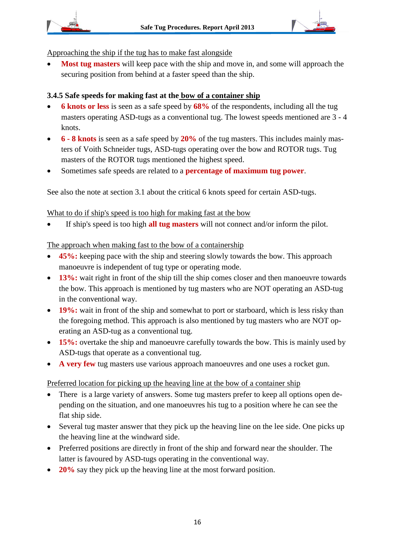

#### Approaching the ship if the tug has to make fast alongside

 **Most tug masters** will keep pace with the ship and move in, and some will approach the securing position from behind at a faster speed than the ship.

## **3.4.5 Safe speeds for making fast at the bow of a container ship**

- **6 knots or less** is seen as a safe speed by **68%** of the respondents, including all the tug masters operating ASD-tugs as a conventional tug. The lowest speeds mentioned are 3 - 4 knots.
- **6 - 8 knots** is seen as a safe speed by **20%** of the tug masters. This includes mainly masters of Voith Schneider tugs, ASD-tugs operating over the bow and ROTOR tugs. Tug masters of the ROTOR tugs mentioned the highest speed.
- Sometimes safe speeds are related to a **percentage of maximum tug power**.

See also the note at section 3.1 about the critical 6 knots speed for certain ASD-tugs.

### What to do if ship's speed is too high for making fast at the bow

If ship's speed is too high **all tug masters** will not connect and/or inform the pilot.

### The approach when making fast to the bow of a containership

- **45%:** keeping pace with the ship and steering slowly towards the bow. This approach manoeuvre is independent of tug type or operating mode.
- **13%:** wait right in front of the ship till the ship comes closer and then manoeuvre towards the bow. This approach is mentioned by tug masters who are NOT operating an ASD-tug in the conventional way.
- **19%:** wait in front of the ship and somewhat to port or starboard, which is less risky than the foregoing method. This approach is also mentioned by tug masters who are NOT operating an ASD-tug as a conventional tug.
- **15%:** overtake the ship and manoeuvre carefully towards the bow. This is mainly used by ASD-tugs that operate as a conventional tug.
- **A very few** tug masters use various approach manoeuvres and one uses a rocket gun.

## Preferred location for picking up the heaving line at the bow of a container ship

- There is a large variety of answers. Some tug masters prefer to keep all options open depending on the situation, and one manoeuvres his tug to a position where he can see the flat ship side.
- Several tug master answer that they pick up the heaving line on the lee side. One picks up the heaving line at the windward side.
- Preferred positions are directly in front of the ship and forward near the shoulder. The latter is favoured by ASD-tugs operating in the conventional way.
- **20%** say they pick up the heaving line at the most forward position.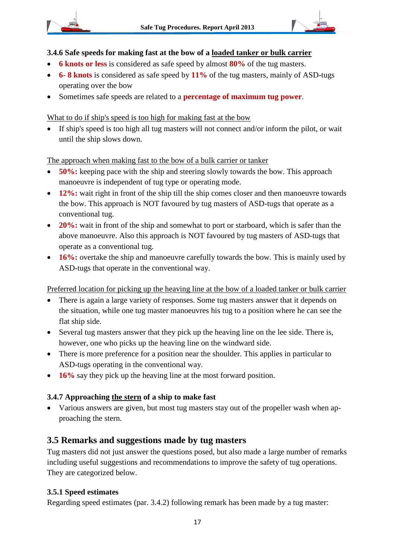



#### **3.4.6 Safe speeds for making fast at the bow of a loaded tanker or bulk carrier**

- **6 knots or less** is considered as safe speed by almost **80%** of the tug masters.
- **6- 8 knots** is considered as safe speed by **11%** of the tug masters, mainly of ASD-tugs operating over the bow
- Sometimes safe speeds are related to a **percentage of maximum tug power**.

#### What to do if ship's speed is too high for making fast at the bow

 If ship's speed is too high all tug masters will not connect and/or inform the pilot, or wait until the ship slows down.

The approach when making fast to the bow of a bulk carrier or tanker

- **50%:** keeping pace with the ship and steering slowly towards the bow. This approach manoeuvre is independent of tug type or operating mode.
- 12%: wait right in front of the ship till the ship comes closer and then manoeuvre towards the bow. This approach is NOT favoured by tug masters of ASD-tugs that operate as a conventional tug.
- **20%:** wait in front of the ship and somewhat to port or starboard, which is safer than the above manoeuvre. Also this approach is NOT favoured by tug masters of ASD-tugs that operate as a conventional tug.
- **16%:** overtake the ship and manoeuvre carefully towards the bow. This is mainly used by ASD-tugs that operate in the conventional way.

Preferred location for picking up the heaving line at the bow of a loaded tanker or bulk carrier

- There is again a large variety of responses. Some tug masters answer that it depends on the situation, while one tug master manoeuvres his tug to a position where he can see the flat ship side.
- Several tug masters answer that they pick up the heaving line on the lee side. There is, however, one who picks up the heaving line on the windward side.
- There is more preference for a position near the shoulder. This applies in particular to ASD-tugs operating in the conventional way.
- **16%** say they pick up the heaving line at the most forward position.

#### **3.4.7 Approaching the stern of a ship to make fast**

 Various answers are given, but most tug masters stay out of the propeller wash when approaching the stern.

## **3.5 Remarks and suggestions made by tug masters**

Tug masters did not just answer the questions posed, but also made a large number of remarks including useful suggestions and recommendations to improve the safety of tug operations. They are categorized below.

#### **3.5.1 Speed estimates**

Regarding speed estimates (par. 3.4.2) following remark has been made by a tug master: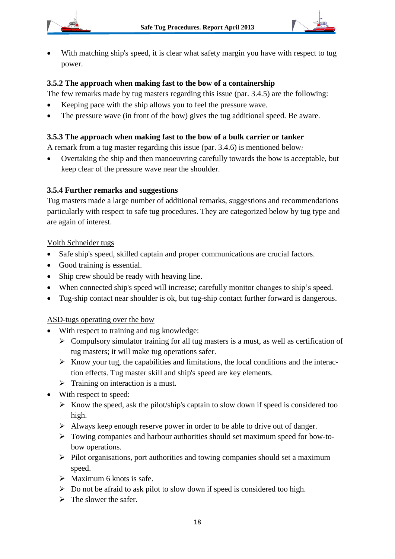



 With matching ship's speed, it is clear what safety margin you have with respect to tug power.

#### **3.5.2 The approach when making fast to the bow of a containership**

The few remarks made by tug masters regarding this issue (par. 3.4.5) are the following:

- Keeping pace with the ship allows you to feel the pressure wave.
- The pressure wave (in front of the bow) gives the tug additional speed. Be aware.

#### **3.5.3 The approach when making fast to the bow of a bulk carrier or tanker**

A remark from a tug master regarding this issue (par. 3.4.6) is mentioned below*:*

 Overtaking the ship and then manoeuvring carefully towards the bow is acceptable, but keep clear of the pressure wave near the shoulder.

#### **3.5.4 Further remarks and suggestions**

Tug masters made a large number of additional remarks, suggestions and recommendations particularly with respect to safe tug procedures. They are categorized below by tug type and are again of interest.

#### Voith Schneider tugs

- Safe ship's speed, skilled captain and proper communications are crucial factors.
- Good training is essential.
- Ship crew should be ready with heaving line.
- When connected ship's speed will increase; carefully monitor changes to ship's speed.
- Tug-ship contact near shoulder is ok, but tug-ship contact further forward is dangerous.

#### ASD-tugs operating over the bow

- With respect to training and tug knowledge:
	- $\triangleright$  Compulsory simulator training for all tug masters is a must, as well as certification of tug masters; it will make tug operations safer.
	- $\triangleright$  Know your tug, the capabilities and limitations, the local conditions and the interaction effects. Tug master skill and ship's speed are key elements.
	- $\triangleright$  Training on interaction is a must.
- With respect to speed:
	- $\triangleright$  Know the speed, ask the pilot/ship's captain to slow down if speed is considered too high.
	- $\triangleright$  Always keep enough reserve power in order to be able to drive out of danger.
	- Towing companies and harbour authorities should set maximum speed for bow-tobow operations.
	- $\triangleright$  Pilot organisations, port authorities and towing companies should set a maximum speed.
	- $\triangleright$  Maximum 6 knots is safe.
	- $\triangleright$  Do not be afraid to ask pilot to slow down if speed is considered too high.
	- $\triangleright$  The slower the safer.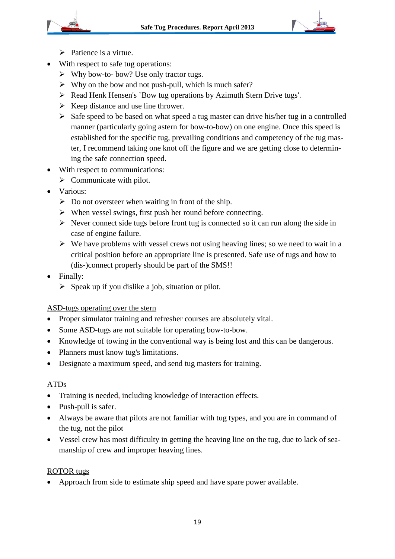

- $\triangleright$  Patience is a virtue.
- With respect to safe tug operations:
	- $\triangleright$  Why bow-to- bow? Use only tractor tugs.
	- $\triangleright$  Why on the bow and not push-pull, which is much safer?
	- Read Henk Hensen's `Bow tug operations by Azimuth Stern Drive tugs'.
	- $\triangleright$  Keep distance and use line thrower.
	- $\triangleright$  Safe speed to be based on what speed a tug master can drive his/her tug in a controlled manner (particularly going astern for bow-to-bow) on one engine. Once this speed is established for the specific tug, prevailing conditions and competency of the tug master, I recommend taking one knot off the figure and we are getting close to determining the safe connection speed.
- With respect to communications:
	- $\triangleright$  Communicate with pilot.
- Various:
	- $\triangleright$  Do not oversteer when waiting in front of the ship.
	- When vessel swings, first push her round before connecting.
	- $\triangleright$  Never connect side tugs before front tug is connected so it can run along the side in case of engine failure.
	- $\triangleright$  We have problems with vessel crews not using heaving lines; so we need to wait in a critical position before an appropriate line is presented. Safe use of tugs and how to (dis-)connect properly should be part of the SMS!!
- Finally:
	- $\triangleright$  Speak up if you dislike a job, situation or pilot.

#### ASD-tugs operating over the stern

- Proper simulator training and refresher courses are absolutely vital.
- Some ASD-tugs are not suitable for operating bow-to-bow.
- Knowledge of towing in the conventional way is being lost and this can be dangerous.
- Planners must know tug's limitations.
- Designate a maximum speed, and send tug masters for training.

#### ATDs

- Training is needed, including knowledge of interaction effects.
- Push-pull is safer.
- Always be aware that pilots are not familiar with tug types, and you are in command of the tug, not the pilot
- Vessel crew has most difficulty in getting the heaving line on the tug, due to lack of seamanship of crew and improper heaving lines.

#### ROTOR tugs

• Approach from side to estimate ship speed and have spare power available.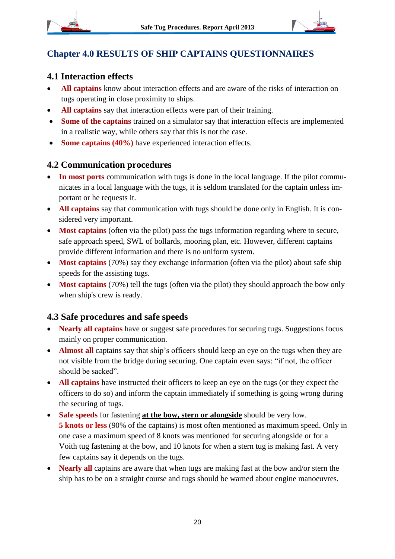

## **Chapter 4.0 RESULTS OF SHIP CAPTAINS QUESTIONNAIRES**

## **4.1 Interaction effects**

- **All captains** know about interaction effects and are aware of the risks of interaction on tugs operating in close proximity to ships.
- **All captains** say that interaction effects were part of their training.
- **Some of the captains** trained on a simulator say that interaction effects are implemented in a realistic way, while others say that this is not the case.
- Some captains (40%) have experienced interaction effects.

### **4.2 Communication procedures**

- **In most ports** communication with tugs is done in the local language. If the pilot communicates in a local language with the tugs, it is seldom translated for the captain unless important or he requests it.
- **All captains** say that communication with tugs should be done only in English. It is considered very important.
- **Most captains** (often via the pilot) pass the tugs information regarding where to secure, safe approach speed, SWL of bollards, mooring plan, etc. However, different captains provide different information and there is no uniform system.
- **Most captains** (70%) say they exchange information (often via the pilot) about safe ship speeds for the assisting tugs.
- **Most captains** (70%) tell the tugs (often via the pilot) they should approach the bow only when ship's crew is ready.

## **4.3 Safe procedures and safe speeds**

- **Nearly all captains** have or suggest safe procedures for securing tugs. Suggestions focus mainly on proper communication.
- **Almost all** captains say that ship's officers should keep an eye on the tugs when they are not visible from the bridge during securing. One captain even says: "if not, the officer should be sacked".
- **All captains** have instructed their officers to keep an eye on the tugs (or they expect the officers to do so) and inform the captain immediately if something is going wrong during the securing of tugs.
- **Safe speeds** for fastening **at the bow, stern or alongside** should be very low. **5 knots or less** (90% of the captains) is most often mentioned as maximum speed. Only in one case a maximum speed of 8 knots was mentioned for securing alongside or for a Voith tug fastening at the bow, and 10 knots for when a stern tug is making fast. A very few captains say it depends on the tugs.
- **Nearly all** captains are aware that when tugs are making fast at the bow and/or stern the ship has to be on a straight course and tugs should be warned about engine manoeuvres.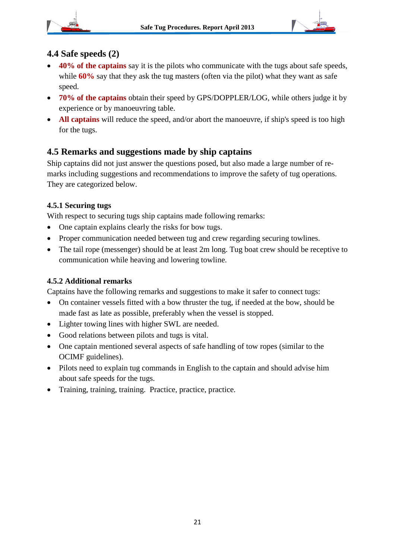



### **4.4 Safe speeds (2)**

- **40% of the captains** say it is the pilots who communicate with the tugs about safe speeds, while **60%** say that they ask the tug masters (often via the pilot) what they want as safe speed.
- **70% of the captains** obtain their speed by GPS/DOPPLER/LOG, while others judge it by experience or by manoeuvring table.
- All captains will reduce the speed, and/or abort the manoeuvre, if ship's speed is too high for the tugs.

## **4.5 Remarks and suggestions made by ship captains**

Ship captains did not just answer the questions posed, but also made a large number of remarks including suggestions and recommendations to improve the safety of tug operations. They are categorized below.

#### **4.5.1 Securing tugs**

With respect to securing tugs ship captains made following remarks:

- One captain explains clearly the risks for bow tugs.
- Proper communication needed between tug and crew regarding securing towlines.
- The tail rope (messenger) should be at least 2m long. Tug boat crew should be receptive to communication while heaving and lowering towline.

#### **4.5.2 Additional remarks**

Captains have the following remarks and suggestions to make it safer to connect tugs:

- On container vessels fitted with a bow thruster the tug, if needed at the bow, should be made fast as late as possible, preferably when the vessel is stopped.
- Lighter towing lines with higher SWL are needed.
- Good relations between pilots and tugs is vital.
- One captain mentioned several aspects of safe handling of tow ropes (similar to the OCIMF guidelines).
- Pilots need to explain tug commands in English to the captain and should advise him about safe speeds for the tugs.
- Training, training, training. Practice, practice, practice.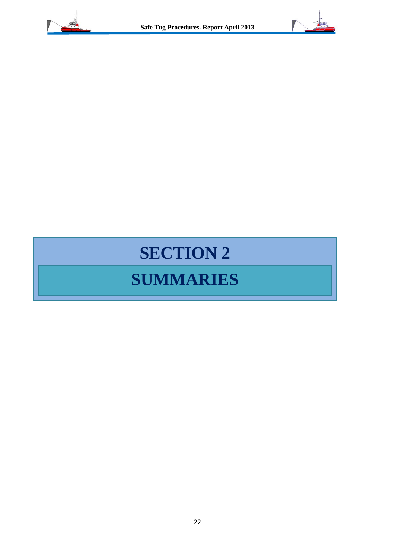



## **SECTION 2**

## **SUMMARIES**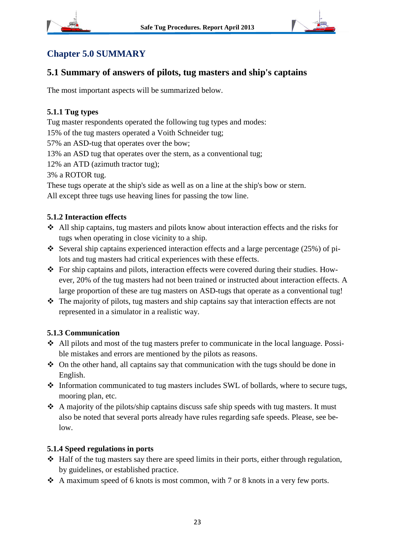



## **Chapter 5.0 SUMMARY**

## **5.1 Summary of answers of pilots, tug masters and ship's captains**

The most important aspects will be summarized below.

#### **5.1.1 Tug types**

Tug master respondents operated the following tug types and modes:

15% of the tug masters operated a Voith Schneider tug;

57% an ASD-tug that operates over the bow;

13% an ASD tug that operates over the stern, as a conventional tug;

12% an ATD (azimuth tractor tug);

3% a ROTOR tug.

These tugs operate at the ship's side as well as on a line at the ship's bow or stern. All except three tugs use heaving lines for passing the tow line.

#### **5.1.2 Interaction effects**

- All ship captains, tug masters and pilots know about interaction effects and the risks for tugs when operating in close vicinity to a ship.
- Several ship captains experienced interaction effects and a large percentage  $(25%)$  of pilots and tug masters had critical experiences with these effects.
- For ship captains and pilots, interaction effects were covered during their studies. However, 20% of the tug masters had not been trained or instructed about interaction effects. A large proportion of these are tug masters on ASD-tugs that operate as a conventional tug!
- The majority of pilots, tug masters and ship captains say that interaction effects are not represented in a simulator in a realistic way.

#### **5.1.3 Communication**

- All pilots and most of the tug masters prefer to communicate in the local language. Possible mistakes and errors are mentioned by the pilots as reasons.
- $\triangleleft$  On the other hand, all captains say that communication with the tugs should be done in English.
- Information communicated to tug masters includes SWL of bollards, where to secure tugs, mooring plan, etc.
- $\triangle$  A majority of the pilots/ship captains discuss safe ship speeds with tug masters. It must also be noted that several ports already have rules regarding safe speeds. Please, see below.

#### **5.1.4 Speed regulations in ports**

- $\triangleleft$  Half of the tug masters say there are speed limits in their ports, either through regulation, by guidelines, or established practice.
- $\triangleleft$  A maximum speed of 6 knots is most common, with 7 or 8 knots in a very few ports.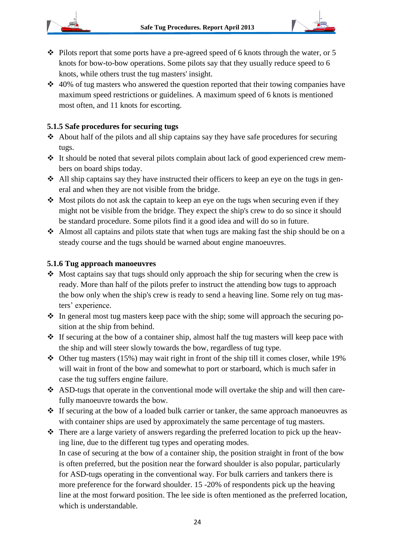

- $\cdot$  Pilots report that some ports have a pre-agreed speed of 6 knots through the water, or 5 knots for bow-to-bow operations. Some pilots say that they usually reduce speed to 6 knots, while others trust the tug masters' insight.
- $\cdot$  40% of tug masters who answered the question reported that their towing companies have maximum speed restrictions or guidelines. A maximum speed of 6 knots is mentioned most often, and 11 knots for escorting.

#### **5.1.5 Safe procedures for securing tugs**

- $\triangle$  About half of the pilots and all ship captains say they have safe procedures for securing tugs.
- It should be noted that several pilots complain about lack of good experienced crew members on board ships today.
- $\triangle$  All ship captains say they have instructed their officers to keep an eye on the tugs in general and when they are not visible from the bridge.
- $\cdot$  Most pilots do not ask the captain to keep an eye on the tugs when securing even if they might not be visible from the bridge. They expect the ship's crew to do so since it should be standard procedure. Some pilots find it a good idea and will do so in future.
- Almost all captains and pilots state that when tugs are making fast the ship should be on a steady course and the tugs should be warned about engine manoeuvres.

#### **5.1.6 Tug approach manoeuvres**

- Most captains say that tugs should only approach the ship for securing when the crew is ready. More than half of the pilots prefer to instruct the attending bow tugs to approach the bow only when the ship's crew is ready to send a heaving line. Some rely on tug masters' experience.
- $\cdot \cdot$  In general most tug masters keep pace with the ship; some will approach the securing position at the ship from behind.
- \* If securing at the bow of a container ship, almost half the tug masters will keep pace with the ship and will steer slowly towards the bow, regardless of tug type.
- $\div$  Other tug masters (15%) may wait right in front of the ship till it comes closer, while 19% will wait in front of the bow and somewhat to port or starboard, which is much safer in case the tug suffers engine failure.
- ASD-tugs that operate in the conventional mode will overtake the ship and will then carefully manoeuvre towards the bow.
- If securing at the bow of a loaded bulk carrier or tanker, the same approach manoeuvres as with container ships are used by approximately the same percentage of tug masters.
- There are a large variety of answers regarding the preferred location to pick up the heaving line, due to the different tug types and operating modes. In case of securing at the bow of a container ship, the position straight in front of the bow is often preferred, but the position near the forward shoulder is also popular, particularly for ASD-tugs operating in the conventional way. For bulk carriers and tankers there is more preference for the forward shoulder. 15 -20% of respondents pick up the heaving line at the most forward position. The lee side is often mentioned as the preferred location, which is understandable.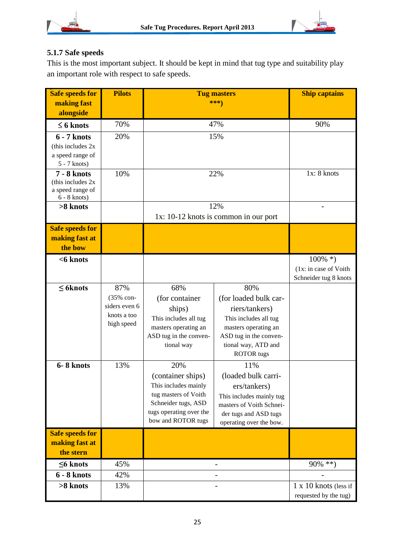

## **5.1.7 Safe speeds**

This is the most important subject. It should be kept in mind that tug type and suitability play an important role with respect to safe speeds.

| <b>Safe speeds for</b>                 | <b>Pilots</b> | <b>Tug masters</b>                        |                                          | <b>Ship captains</b>                           |
|----------------------------------------|---------------|-------------------------------------------|------------------------------------------|------------------------------------------------|
| making fast                            |               | ***)                                      |                                          |                                                |
| alongside                              |               |                                           |                                          |                                                |
| $\leq$ 6 knots                         | 70%           | 47%                                       |                                          | 90%                                            |
| 6 - 7 knots                            | 20%           |                                           | 15%                                      |                                                |
| (this includes 2x)                     |               |                                           |                                          |                                                |
| a speed range of<br>$5 - 7$ knots)     |               |                                           |                                          |                                                |
| <b>7 - 8 knots</b>                     | 10%           | 22%                                       |                                          | 1x: 8 knots                                    |
| (this includes 2x)<br>a speed range of |               |                                           |                                          |                                                |
| $6 - 8$ knots)                         |               |                                           |                                          |                                                |
| >8 knots                               |               | 12%                                       |                                          |                                                |
|                                        |               |                                           | $1x: 10-12$ knots is common in our port  |                                                |
| <b>Safe speeds for</b>                 |               |                                           |                                          |                                                |
| making fast at                         |               |                                           |                                          |                                                |
| the bow                                |               |                                           |                                          |                                                |
| $<$ 6 knots                            |               |                                           |                                          | $100\%$ *)                                     |
|                                        |               |                                           |                                          | (1x: in case of Voith<br>Schneider tug 8 knots |
| $\leq$ 6 knots                         | 87%           | 68%                                       | 80%                                      |                                                |
|                                        | (35% con-     | (for container                            | (for loaded bulk car-                    |                                                |
|                                        | siders even 6 | ships)                                    | riers/tankers)                           |                                                |
|                                        | knots a too   | This includes all tug                     | This includes all tug                    |                                                |
|                                        | high speed    | masters operating an                      | masters operating an                     |                                                |
|                                        |               | ASD tug in the conven-                    | ASD tug in the conven-                   |                                                |
|                                        |               | tional way                                | tional way, ATD and<br><b>ROTOR</b> tugs |                                                |
|                                        | 13%           | 20%                                       | 11%                                      |                                                |
| 6-8 knots                              |               |                                           |                                          |                                                |
|                                        |               | (container ships)<br>This includes mainly | (loaded bulk carri-                      |                                                |
|                                        |               | tug masters of Voith                      | ers/tankers)<br>This includes mainly tug |                                                |
|                                        |               | Schneider tugs, ASD                       | masters of Voith Schnei-                 |                                                |
|                                        |               | tugs operating over the                   | der tugs and ASD tugs                    |                                                |
|                                        |               | bow and ROTOR tugs                        | operating over the bow.                  |                                                |
| <b>Safe speeds for</b>                 |               |                                           |                                          |                                                |
| making fast at                         |               |                                           |                                          |                                                |
| the stern                              |               |                                           |                                          |                                                |
| $\leq$ 6 knots                         | 45%           |                                           |                                          | $90\%$ **)                                     |
| <b>6 - 8 knots</b>                     | 42%           |                                           |                                          |                                                |
| >8 knots                               | 13%           |                                           |                                          | 1 x 10 knots (less if                          |
|                                        |               |                                           |                                          | requested by the tug)                          |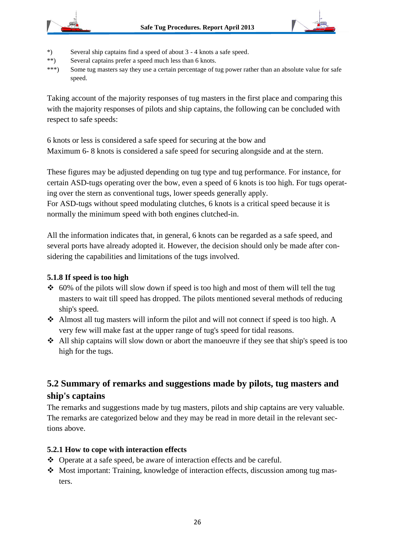



- \*) Several ship captains find a speed of about 3 4 knots a safe speed.
- \*\*) Several captains prefer a speed much less than 6 knots.
- \*\*\*) Some tug masters say they use a certain percentage of tug power rather than an absolute value for safe speed.

Taking account of the majority responses of tug masters in the first place and comparing this with the majority responses of pilots and ship captains, the following can be concluded with respect to safe speeds:

6 knots or less is considered a safe speed for securing at the bow and Maximum 6- 8 knots is considered a safe speed for securing alongside and at the stern.

These figures may be adjusted depending on tug type and tug performance. For instance, for certain ASD-tugs operating over the bow, even a speed of 6 knots is too high. For tugs operating over the stern as conventional tugs, lower speeds generally apply.

For ASD-tugs without speed modulating clutches, 6 knots is a critical speed because it is normally the minimum speed with both engines clutched-in.

All the information indicates that, in general, 6 knots can be regarded as a safe speed, and several ports have already adopted it. However, the decision should only be made after considering the capabilities and limitations of the tugs involved.

#### **5.1.8 If speed is too high**

- $\div$  60% of the pilots will slow down if speed is too high and most of them will tell the tug masters to wait till speed has dropped. The pilots mentioned several methods of reducing ship's speed.
- Almost all tug masters will inform the pilot and will not connect if speed is too high. A very few will make fast at the upper range of tug's speed for tidal reasons.
- All ship captains will slow down or abort the manoeuvre if they see that ship's speed is too high for the tugs.

## **5.2 Summary of remarks and suggestions made by pilots, tug masters and ship's captains**

The remarks and suggestions made by tug masters, pilots and ship captains are very valuable. The remarks are categorized below and they may be read in more detail in the relevant sections above.

#### **5.2.1 How to cope with interaction effects**

- Operate at a safe speed, be aware of interaction effects and be careful.
- Most important: Training, knowledge of interaction effects, discussion among tug masters.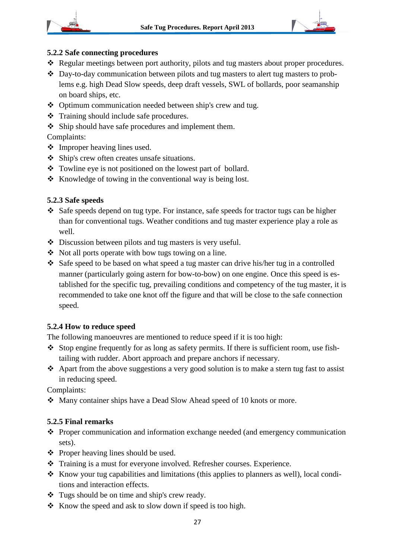





#### **5.2.2 Safe connecting procedures**

- \* Regular meetings between port authority, pilots and tug masters about proper procedures.
- Day-to-day communication between pilots and tug masters to alert tug masters to problems e.g. high Dead Slow speeds, deep draft vessels, SWL of bollards, poor seamanship on board ships, etc.
- Optimum communication needed between ship's crew and tug.
- Training should include safe procedures.
- Ship should have safe procedures and implement them.

Complaints:

- Improper heaving lines used.
- Ship's crew often creates unsafe situations.
- Towline eye is not positioned on the lowest part of bollard.
- $\triangle$  Knowledge of towing in the conventional way is being lost.

#### **5.2.3 Safe speeds**

- Safe speeds depend on tug type. For instance, safe speeds for tractor tugs can be higher than for conventional tugs. Weather conditions and tug master experience play a role as well.
- Discussion between pilots and tug masters is very useful.
- $\bullet$  Not all ports operate with bow tugs towing on a line.
- $\triangle$  Safe speed to be based on what speed a tug master can drive his/her tug in a controlled manner (particularly going astern for bow-to-bow) on one engine. Once this speed is established for the specific tug, prevailing conditions and competency of the tug master, it is recommended to take one knot off the figure and that will be close to the safe connection speed.

#### **5.2.4 How to reduce speed**

The following manoeuvres are mentioned to reduce speed if it is too high:

- $\triangle$  Stop engine frequently for as long as safety permits. If there is sufficient room, use fishtailing with rudder. Abort approach and prepare anchors if necessary.
- Apart from the above suggestions a very good solution is to make a stern tug fast to assist in reducing speed.

Complaints:

• Many container ships have a Dead Slow Ahead speed of 10 knots or more.

#### **5.2.5 Final remarks**

- Proper communication and information exchange needed (and emergency communication sets).
- $\triangle$  Proper heaving lines should be used.
- Training is a must for everyone involved. Refresher courses. Experience.
- $\triangle$  Know your tug capabilities and limitations (this applies to planners as well), local conditions and interaction effects.
- Tugs should be on time and ship's crew ready.
- $\triangle$  Know the speed and ask to slow down if speed is too high.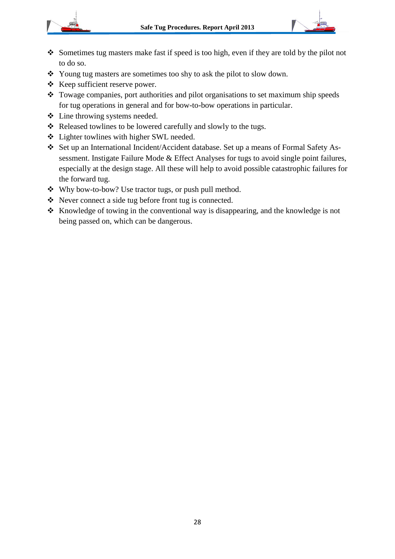



- Sometimes tug masters make fast if speed is too high, even if they are told by the pilot not to do so.
- \* Young tug masters are sometimes too shy to ask the pilot to slow down.
- $\triangleleft$  Keep sufficient reserve power.
- \* Towage companies, port authorities and pilot organisations to set maximum ship speeds for tug operations in general and for bow-to-bow operations in particular.
- Line throwing systems needed.
- \* Released towlines to be lowered carefully and slowly to the tugs.
- Lighter towlines with higher SWL needed.
- Set up an International Incident/Accident database. Set up a means of Formal Safety Assessment. Instigate Failure Mode & Effect Analyses for tugs to avoid single point failures, especially at the design stage. All these will help to avoid possible catastrophic failures for the forward tug.
- Why bow-to-bow? Use tractor tugs, or push pull method.
- Never connect a side tug before front tug is connected.
- $\triangle$  Knowledge of towing in the conventional way is disappearing, and the knowledge is not being passed on, which can be dangerous.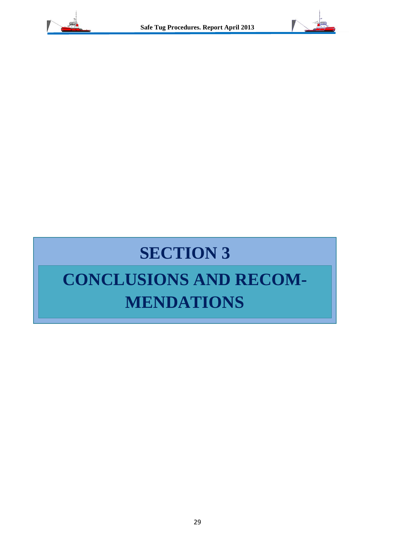



# **SECTION 3**

## **CONCLUSIONS AND RECOM-MENDATIONS**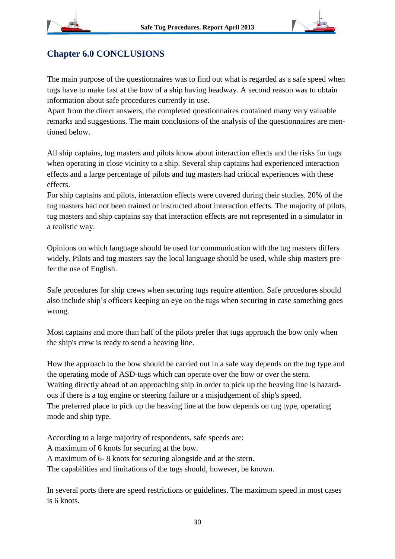

## **Chapter 6.0 CONCLUSIONS**

The main purpose of the questionnaires was to find out what is regarded as a safe speed when tugs have to make fast at the bow of a ship having headway. A second reason was to obtain information about safe procedures currently in use.

Apart from the direct answers, the completed questionnaires contained many very valuable remarks and suggestions. The main conclusions of the analysis of the questionnaires are mentioned below.

All ship captains, tug masters and pilots know about interaction effects and the risks for tugs when operating in close vicinity to a ship. Several ship captains had experienced interaction effects and a large percentage of pilots and tug masters had critical experiences with these effects.

For ship captains and pilots, interaction effects were covered during their studies. 20% of the tug masters had not been trained or instructed about interaction effects. The majority of pilots, tug masters and ship captains say that interaction effects are not represented in a simulator in a realistic way.

Opinions on which language should be used for communication with the tug masters differs widely. Pilots and tug masters say the local language should be used, while ship masters prefer the use of English.

Safe procedures for ship crews when securing tugs require attention. Safe procedures should also include ship's officers keeping an eye on the tugs when securing in case something goes wrong.

Most captains and more than half of the pilots prefer that tugs approach the bow only when the ship's crew is ready to send a heaving line.

How the approach to the bow should be carried out in a safe way depends on the tug type and the operating mode of ASD-tugs which can operate over the bow or over the stern. Waiting directly ahead of an approaching ship in order to pick up the heaving line is hazardous if there is a tug engine or steering failure or a misjudgement of ship's speed. The preferred place to pick up the heaving line at the bow depends on tug type, operating mode and ship type.

According to a large majority of respondents, safe speeds are:

A maximum of 6 knots for securing at the bow.

A maximum of 6- 8 knots for securing alongside and at the stern.

The capabilities and limitations of the tugs should, however, be known.

In several ports there are speed restrictions or guidelines. The maximum speed in most cases is 6 knots.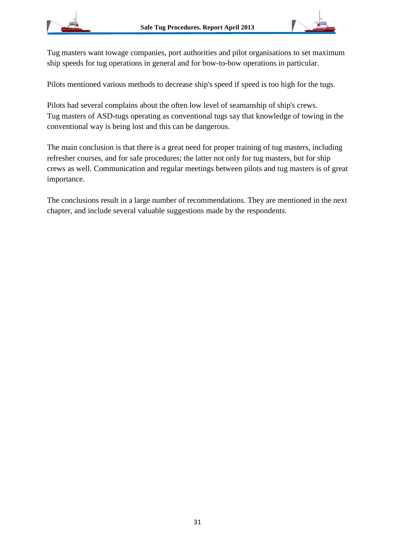

Tug masters want towage companies, port authorities and pilot organisations to set maximum ship speeds for tug operations in general and for bow-to-bow operations in particular.

Pilots mentioned various methods to decrease ship's speed if speed is too high for the tugs.

Pilots had several complains about the often low level of seamanship of ship's crews. Tug masters of ASD-tugs operating as conventional tugs say that knowledge of towing in the conventional way is being lost and this can be dangerous.

The main conclusion is that there is a great need for proper training of tug masters, including refresher courses, and for safe procedures; the latter not only for tug masters, but for ship crews as well. Communication and regular meetings between pilots and tug masters is of great importance.

The conclusions result in a large number of recommendations. They are mentioned in the next chapter, and include several valuable suggestions made by the respondents.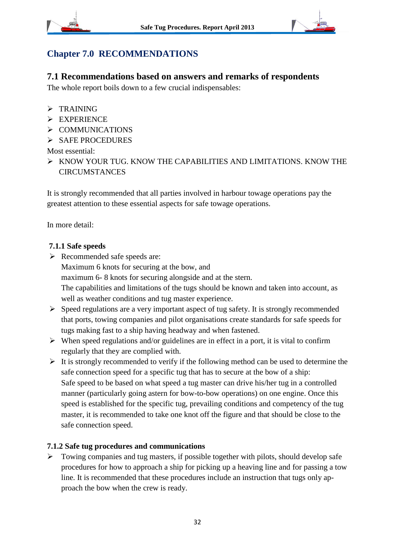



## **Chapter 7.0 RECOMMENDATIONS**

#### **7.1 Recommendations based on answers and remarks of respondents**

The whole report boils down to a few crucial indispensables:

- $\triangleright$  TRAINING
- > EXPERIENCE
- $\triangleright$  COMMUNICATIONS
- $\triangleright$  SAFE PROCEDURES

Most essential:

 $\triangleright$  KNOW YOUR TUG. KNOW THE CAPABILITIES AND LIMITATIONS. KNOW THE **CIRCUMSTANCES** 

It is strongly recommended that all parties involved in harbour towage operations pay the greatest attention to these essential aspects for safe towage operations.

In more detail:

#### **7.1.1 Safe speeds**

Recommended safe speeds are:

Maximum 6 knots for securing at the bow, and

maximum 6- 8 knots for securing alongside and at the stern.

The capabilities and limitations of the tugs should be known and taken into account, as well as weather conditions and tug master experience.

- $\triangleright$  Speed regulations are a very important aspect of tug safety. It is strongly recommended that ports, towing companies and pilot organisations create standards for safe speeds for tugs making fast to a ship having headway and when fastened.
- $\triangleright$  When speed regulations and/or guidelines are in effect in a port, it is vital to confirm regularly that they are complied with.
- $\triangleright$  It is strongly recommended to verify if the following method can be used to determine the safe connection speed for a specific tug that has to secure at the bow of a ship: Safe speed to be based on what speed a tug master can drive his/her tug in a controlled manner (particularly going astern for bow-to-bow operations) on one engine. Once this speed is established for the specific tug, prevailing conditions and competency of the tug master, it is recommended to take one knot off the figure and that should be close to the safe connection speed.

#### **7.1.2 Safe tug procedures and communications**

 $\triangleright$  Towing companies and tug masters, if possible together with pilots, should develop safe procedures for how to approach a ship for picking up a heaving line and for passing a tow line. It is recommended that these procedures include an instruction that tugs only approach the bow when the crew is ready.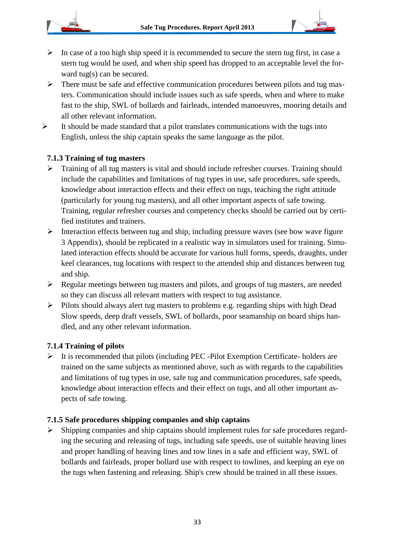

- $\triangleright$  In case of a too high ship speed it is recommended to secure the stern tug first, in case a stern tug would be used, and when ship speed has dropped to an acceptable level the forward tug(s) can be secured.
- $\triangleright$  There must be safe and effective communication procedures between pilots and tug masters. Communication should include issues such as safe speeds, when and where to make fast to the ship, SWL of bollards and fairleads, intended manoeuvres, mooring details and all other relevant information.
- $\triangleright$  It should be made standard that a pilot translates communications with the tugs into English, unless the ship captain speaks the same language as the pilot.

#### **7.1.3 Training of tug masters**

- $\triangleright$  Training of all tug masters is vital and should include refresher courses. Training should include the capabilities and limitations of tug types in use, safe procedures, safe speeds, knowledge about interaction effects and their effect on tugs, teaching the right attitude (particularly for young tug masters), and all other important aspects of safe towing. Training, regular refresher courses and competency checks should be carried out by certified institutes and trainers.
- $\triangleright$  Interaction effects between tug and ship, including pressure waves (see bow wave figure 3 Appendix), should be replicated in a realistic way in simulators used for training. Simulated interaction effects should be accurate for various hull forms, speeds, draughts, under keel clearances, tug locations with respect to the attended ship and distances between tug and ship.
- $\triangleright$  Regular meetings between tug masters and pilots, and groups of tug masters, are needed so they can discuss all relevant matters with respect to tug assistance.
- $\triangleright$  Pilots should always alert tug masters to problems e.g. regarding ships with high Dead Slow speeds, deep draft vessels, SWL of bollards, poor seamanship on board ships handled, and any other relevant information.

#### **7.1.4 Training of pilots**

 $\triangleright$  It is recommended that pilots (including PEC -Pilot Exemption Certificate- holders are trained on the same subjects as mentioned above, such as with regards to the capabilities and limitations of tug types in use, safe tug and communication procedures, safe speeds, knowledge about interaction effects and their effect on tugs, and all other important aspects of safe towing.

#### **7.1.5 Safe procedures shipping companies and ship captains**

 $\triangleright$  Shipping companies and ship captains should implement rules for safe procedures regarding the securing and releasing of tugs, including safe speeds, use of suitable heaving lines and proper handling of heaving lines and tow lines in a safe and efficient way, SWL of bollards and fairleads, proper bollard use with respect to towlines, and keeping an eye on the tugs when fastening and releasing. Ship's crew should be trained in all these issues.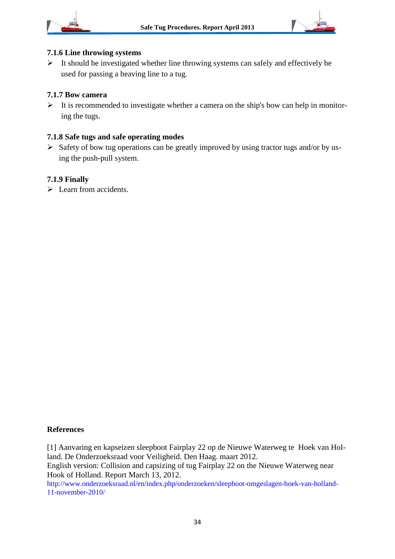



#### **7.1.6 Line throwing systems**

 $\triangleright$  It should be investigated whether line throwing systems can safely and effectively be used for passing a heaving line to a tug.

#### **7.1.7 Bow camera**

 $\triangleright$  It is recommended to investigate whether a camera on the ship's bow can help in monitoring the tugs.

#### **7.1.8 Safe tugs and safe operating modes**

 $\triangleright$  Safety of bow tug operations can be greatly improved by using tractor tugs and/or by using the push-pull system.

#### **7.1.9 Finally**

Exern from accidents.

#### **References**

[1] Aanvaring en kapseizen sleepboot Fairplay 22 op de Nieuwe Waterweg te Hoek van Holland. De Onderzoeksraad voor Veiligheid. Den Haag. maart 2012.

English version: [Collision and capsizing of tug Fairplay 22 on](http://www.onderzoeksraad.nl/docs/rapporten/Rapport_Fairplay_EN_web.pdf) the Nieuwe Waterweg near [Hook of Holland.](http://www.onderzoeksraad.nl/docs/rapporten/Rapport_Fairplay_EN_web.pdf) Report March 13, 2012.

http://www.onderzoeksraad.nl/en/index.php/onderzoeken/sleepboot-omgeslagen-hoek-van-holland-11-november-2010/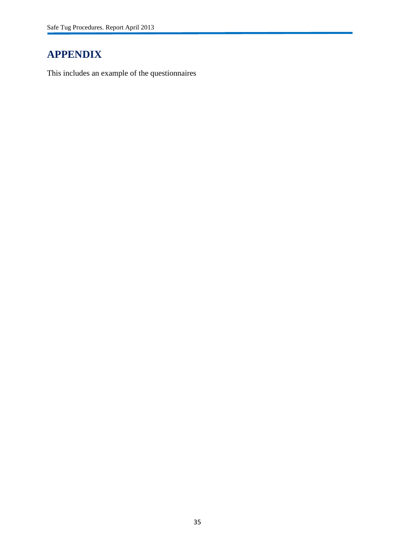## **APPENDIX**

This includes an example of the questionnaires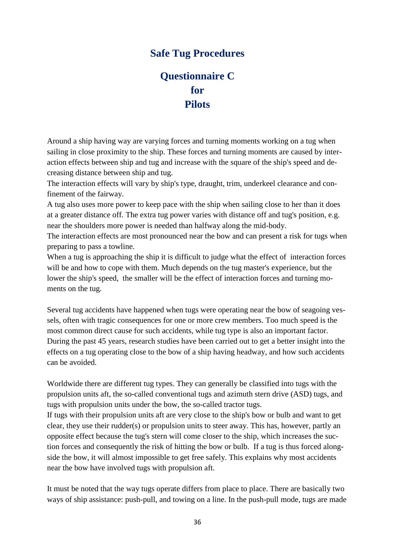## **Safe Tug Procedures**

## **Questionnaire C for Pilots**

Around a ship having way are varying forces and turning moments working on a tug when sailing in close proximity to the ship. These forces and turning moments are caused by interaction effects between ship and tug and increase with the square of the ship's speed and decreasing distance between ship and tug.

The interaction effects will vary by ship's type, draught, trim, underkeel clearance and confinement of the fairway.

A tug also uses more power to keep pace with the ship when sailing close to her than it does at a greater distance off. The extra tug power varies with distance off and tug's position, e.g. near the shoulders more power is needed than halfway along the mid-body.

The interaction effects are most pronounced near the bow and can present a risk for tugs when preparing to pass a towline.

When a tug is approaching the ship it is difficult to judge what the effect of interaction forces will be and how to cope with them. Much depends on the tug master's experience, but the lower the ship's speed, the smaller will be the effect of interaction forces and turning moments on the tug.

Several tug accidents have happened when tugs were operating near the bow of seagoing vessels, often with tragic consequences for one or more crew members. Too much speed is the most common direct cause for such accidents, while tug type is also an important factor. During the past 45 years, research studies have been carried out to get a better insight into the effects on a tug operating close to the bow of a ship having headway, and how such accidents can be avoided.

Worldwide there are different tug types. They can generally be classified into tugs with the propulsion units aft, the so-called conventional tugs and azimuth stern drive (ASD) tugs, and tugs with propulsion units under the bow, the so-called tractor tugs.

If tugs with their propulsion units aft are very close to the ship's bow or bulb and want to get clear, they use their rudder(s) or propulsion units to steer away. This has, however, partly an opposite effect because the tug's stern will come closer to the ship, which increases the suction forces and consequently the risk of hitting the bow or bulb. If a tug is thus forced alongside the bow, it will almost impossible to get free safely. This explains why most accidents near the bow have involved tugs with propulsion aft.

It must be noted that the way tugs operate differs from place to place. There are basically two ways of ship assistance: push-pull, and towing on a line. In the push-pull mode, tugs are made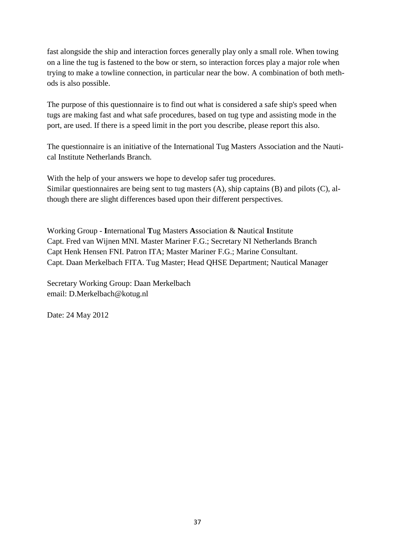fast alongside the ship and interaction forces generally play only a small role. When towing on a line the tug is fastened to the bow or stern, so interaction forces play a major role when trying to make a towline connection, in particular near the bow. A combination of both methods is also possible.

The purpose of this questionnaire is to find out what is considered a safe ship's speed when tugs are making fast and what safe procedures, based on tug type and assisting mode in the port, are used. If there is a speed limit in the port you describe, please report this also.

The questionnaire is an initiative of the International Tug Masters Association and the Nautical Institute Netherlands Branch.

With the help of your answers we hope to develop safer tug procedures. Similar questionnaires are being sent to tug masters (A), ship captains (B) and pilots (C), although there are slight differences based upon their different perspectives.

Working Group - **I**nternational **T**ug Masters **A**ssociation & **N**autical **I**nstitute Capt. Fred van Wijnen MNI. Master Mariner F.G.; Secretary NI Netherlands Branch Capt Henk Hensen FNI. Patron ITA; Master Mariner F.G.; Marine Consultant. Capt. Daan Merkelbach FITA. Tug Master; Head QHSE Department; Nautical Manager

Secretary Working Group: Daan Merkelbach email: D.Merkelbach@kotug.nl

Date: 24 May 2012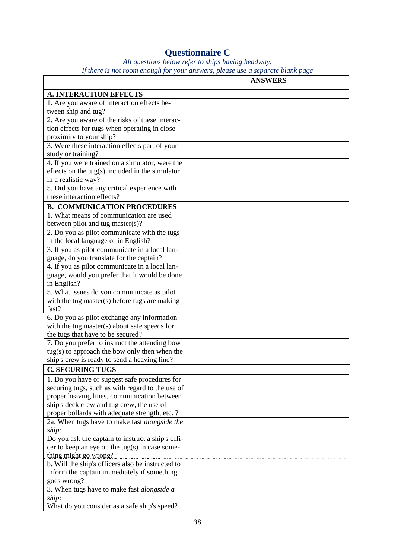## **Questionnaire C**

*All questions below refer to ships having headway. If there is not room enough for your answers, please use a separate blank page*

|                                                                         | <b>ANSWERS</b> |
|-------------------------------------------------------------------------|----------------|
| <b>A. INTERACTION EFFECTS</b>                                           |                |
| 1. Are you aware of interaction effects be-                             |                |
| tween ship and tug?                                                     |                |
| 2. Are you aware of the risks of these interac-                         |                |
| tion effects for tugs when operating in close                           |                |
| proximity to your ship?                                                 |                |
| 3. Were these interaction effects part of your                          |                |
| study or training?                                                      |                |
| 4. If you were trained on a simulator, were the                         |                |
| effects on the tug(s) included in the simulator                         |                |
| in a realistic way?                                                     |                |
| 5. Did you have any critical experience with                            |                |
| these interaction effects?                                              |                |
| <b>B. COMMUNICATION PROCEDURES</b>                                      |                |
| 1. What means of communication are used                                 |                |
| between pilot and tug master(s)?                                        |                |
| 2. Do you as pilot communicate with the tugs                            |                |
| in the local language or in English?                                    |                |
| 3. If you as pilot communicate in a local lan-                          |                |
| guage, do you translate for the captain?                                |                |
| 4. If you as pilot communicate in a local lan-                          |                |
| guage, would you prefer that it would be done                           |                |
| in English?                                                             |                |
| 5. What issues do you communicate as pilot                              |                |
| with the tug master(s) before tugs are making                           |                |
| fast?                                                                   |                |
| 6. Do you as pilot exchange any information                             |                |
| with the tug master(s) about safe speeds for                            |                |
| the tugs that have to be secured?                                       |                |
| 7. Do you prefer to instruct the attending bow                          |                |
| $tug(s)$ to approach the bow only then when the                         |                |
| ship's crew is ready to send a heaving line?                            |                |
| <b>C. SECURING TUGS</b>                                                 |                |
| 1. Do you have or suggest safe procedures for                           |                |
| securing tugs, such as with regard to the use of                        |                |
| proper heaving lines, communication between                             |                |
| ship's deck crew and tug crew, the use of                               |                |
| proper bollards with adequate strength, etc. ?                          |                |
| 2a. When tugs have to make fast alongside the                           |                |
| ship:                                                                   |                |
| Do you ask the captain to instruct a ship's offi-                       |                |
| cer to keep an eye on the tug(s) in case some-<br>thing might go wrong? |                |
| b. Will the ship's officers also be instructed to                       |                |
| inform the captain immediately if something                             |                |
| goes wrong?                                                             |                |
| 3. When tugs have to make fast alongside a                              |                |
| ship:                                                                   |                |
| What do you consider as a safe ship's speed?                            |                |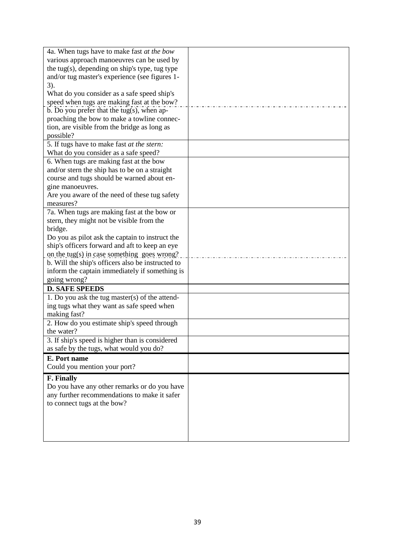| 4a. When tugs have to make fast at the bow               |  |
|----------------------------------------------------------|--|
| various approach manoeuvres can be used by               |  |
| the tug(s), depending on ship's type, tug type           |  |
| and/or tug master's experience (see figures 1-           |  |
| $3)$ .                                                   |  |
| What do you consider as a safe speed ship's              |  |
| speed when tugs are making fast at the bow?              |  |
| $\overline{b}$ . Do you prefer that the tug(s), when ap- |  |
| proaching the bow to make a towline connec-              |  |
| tion, are visible from the bridge as long as             |  |
| possible?                                                |  |
| 5. If tugs have to make fast at the stern:               |  |
| What do you consider as a safe speed?                    |  |
| 6. When tugs are making fast at the bow                  |  |
| and/or stern the ship has to be on a straight            |  |
| course and tugs should be warned about en-               |  |
| gine manoeuvres.                                         |  |
| Are you aware of the need of these tug safety            |  |
| measures?                                                |  |
| 7a. When tugs are making fast at the bow or              |  |
| stern, they might not be visible from the                |  |
| bridge.                                                  |  |
| Do you as pilot ask the captain to instruct the          |  |
| ship's officers forward and aft to keep an eye           |  |
| on the tug(s) in case something goes wrong?              |  |
| b. Will the ship's officers also be instructed to        |  |
| inform the captain immediately if something is           |  |
| going wrong?                                             |  |
| <b>D. SAFE SPEEDS</b>                                    |  |
| 1. Do you ask the tug master(s) of the attend-           |  |
| ing tugs what they want as safe speed when               |  |
| making fast?                                             |  |
| 2. How do you estimate ship's speed through              |  |
| the water?                                               |  |
| 3. If ship's speed is higher than is considered          |  |
| as safe by the tugs, what would you do?                  |  |
| E. Port name                                             |  |
| Could you mention your port?                             |  |
| F. Finally                                               |  |
| Do you have any other remarks or do you have             |  |
| any further recommendations to make it safer             |  |
| to connect tugs at the bow?                              |  |
|                                                          |  |
|                                                          |  |
|                                                          |  |
|                                                          |  |